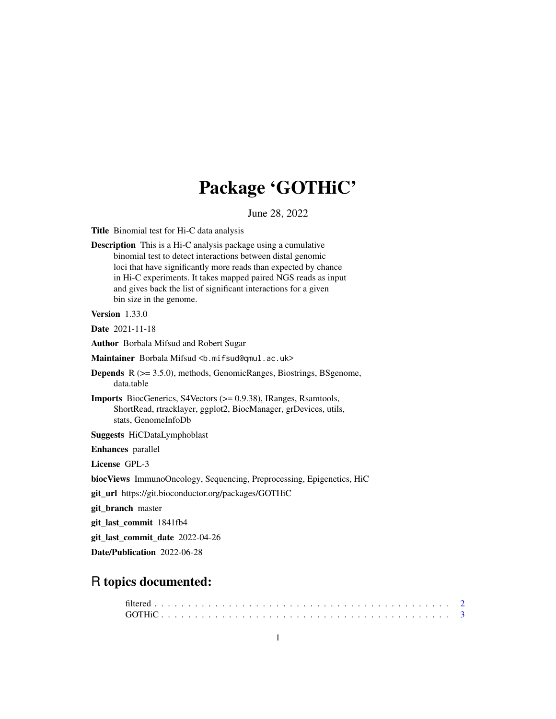## Package 'GOTHiC'

June 28, 2022

Title Binomial test for Hi-C data analysis

Description This is a Hi-C analysis package using a cumulative binomial test to detect interactions between distal genomic loci that have significantly more reads than expected by chance in Hi-C experiments. It takes mapped paired NGS reads as input and gives back the list of significant interactions for a given bin size in the genome.

Version 1.33.0

Date 2021-11-18

Author Borbala Mifsud and Robert Sugar

Maintainer Borbala Mifsud <b.mifsud@qmul.ac.uk>

- Depends R (>= 3.5.0), methods, GenomicRanges, Biostrings, BSgenome, data.table
- Imports BiocGenerics, S4Vectors (>= 0.9.38), IRanges, Rsamtools, ShortRead, rtracklayer, ggplot2, BiocManager, grDevices, utils, stats, GenomeInfoDb

Suggests HiCDataLymphoblast

Enhances parallel

License GPL-3

biocViews ImmunoOncology, Sequencing, Preprocessing, Epigenetics, HiC

git\_url https://git.bioconductor.org/packages/GOTHiC

git\_branch master

git\_last\_commit 1841fb4

git\_last\_commit\_date 2022-04-26

Date/Publication 2022-06-28

### R topics documented: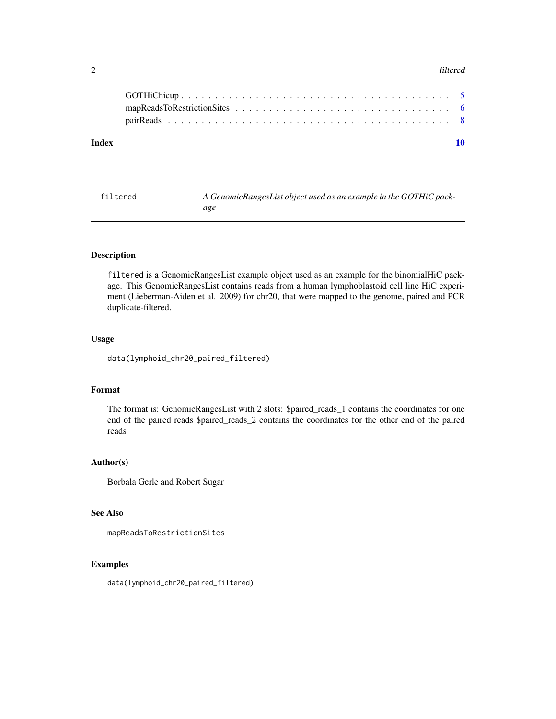#### <span id="page-1-0"></span>2 filtered and the contract of the contract of the contract of the contract of the contract of the contract of the contract of the contract of the contract of the contract of the contract of the contract of the contract of

| Index |  |  |
|-------|--|--|
|       |  |  |
|       |  |  |
|       |  |  |
|       |  |  |

| filtered | A GenomicRangesList object used as an example in the GOTHiC pack- |
|----------|-------------------------------------------------------------------|
|          | age                                                               |

#### Description

filtered is a GenomicRangesList example object used as an example for the binomialHiC package. This GenomicRangesList contains reads from a human lymphoblastoid cell line HiC experiment (Lieberman-Aiden et al. 2009) for chr20, that were mapped to the genome, paired and PCR duplicate-filtered.

#### Usage

data(lymphoid\_chr20\_paired\_filtered)

#### Format

The format is: GenomicRangesList with 2 slots: \$paired\_reads\_1 contains the coordinates for one end of the paired reads \$paired\_reads\_2 contains the coordinates for the other end of the paired reads

#### Author(s)

Borbala Gerle and Robert Sugar

#### See Also

mapReadsToRestrictionSites

#### Examples

data(lymphoid\_chr20\_paired\_filtered)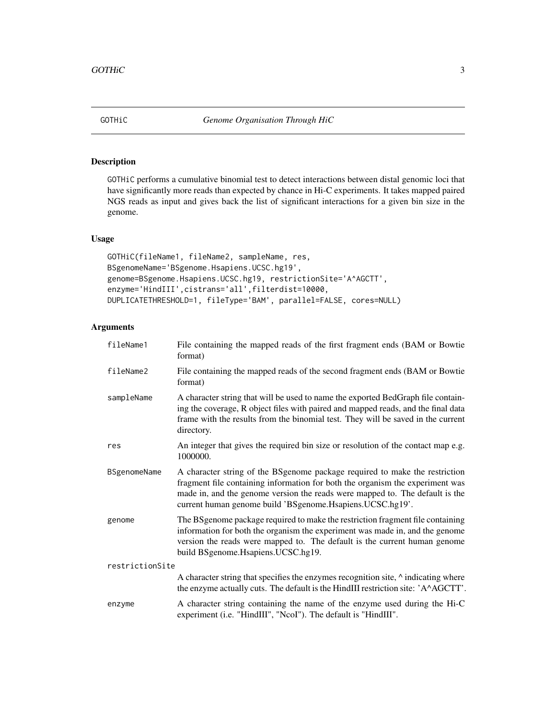<span id="page-2-0"></span>

#### Description

GOTHiC performs a cumulative binomial test to detect interactions between distal genomic loci that have significantly more reads than expected by chance in Hi-C experiments. It takes mapped paired NGS reads as input and gives back the list of significant interactions for a given bin size in the genome.

#### Usage

```
GOTHiC(fileName1, fileName2, sampleName, res,
BSgenomeName='BSgenome.Hsapiens.UCSC.hg19',
genome=BSgenome.Hsapiens.UCSC.hg19, restrictionSite='A^AGCTT',
enzyme='HindIII',cistrans='all',filterdist=10000,
DUPLICATETHRESHOLD=1, fileType='BAM', parallel=FALSE, cores=NULL)
```
#### Arguments

| fileName1           | File containing the mapped reads of the first fragment ends (BAM or Bowtie<br>format)                                                                                                                                                                                                                       |
|---------------------|-------------------------------------------------------------------------------------------------------------------------------------------------------------------------------------------------------------------------------------------------------------------------------------------------------------|
| fileName2           | File containing the mapped reads of the second fragment ends (BAM or Bowtie<br>format)                                                                                                                                                                                                                      |
| sampleName          | A character string that will be used to name the exported BedGraph file contain-<br>ing the coverage, R object files with paired and mapped reads, and the final data<br>frame with the results from the binomial test. They will be saved in the current<br>directory.                                     |
| res                 | An integer that gives the required bin size or resolution of the contact map e.g.<br>1000000.                                                                                                                                                                                                               |
| <b>BSgenomeName</b> | A character string of the BSgenome package required to make the restriction<br>fragment file containing information for both the organism the experiment was<br>made in, and the genome version the reads were mapped to. The default is the<br>current human genome build 'BSgenome. Hsapiens. UCSC.hg19'. |
| genome              | The BSgenome package required to make the restriction fragment file containing<br>information for both the organism the experiment was made in, and the genome<br>version the reads were mapped to. The default is the current human genome<br>build BSgenome.Hsapiens.UCSC.hg19.                           |
| restrictionSite     |                                                                                                                                                                                                                                                                                                             |
|                     | A character string that specifies the enzymes recognition site, $\land$ indicating where<br>the enzyme actually cuts. The default is the HindIII restriction site: 'A^AGCTT'.                                                                                                                               |
| enzyme              | A character string containing the name of the enzyme used during the Hi-C<br>experiment (i.e. "HindIII", "NcoI"). The default is "HindIII".                                                                                                                                                                 |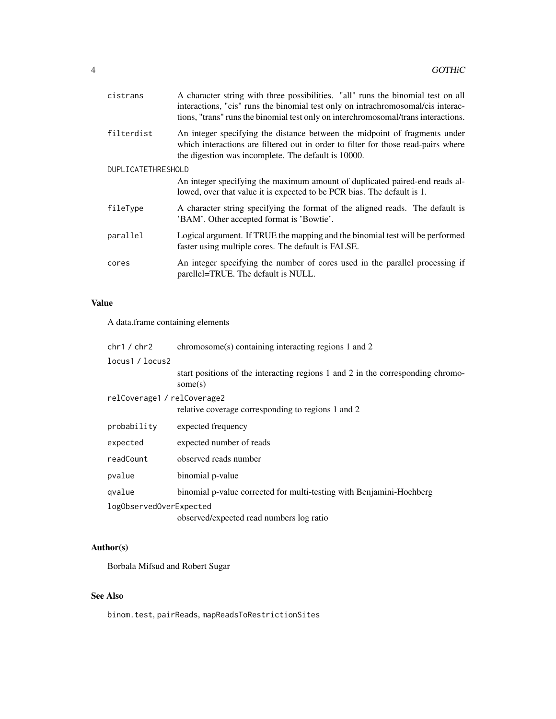| cistrans           | A character string with three possibilities. "all" runs the binomial test on all<br>interactions, "cis" runs the binomial test only on intrachromosomal/cis interac-<br>tions, "trans" runs the binomial test only on interchromosomal/trans interactions. |
|--------------------|------------------------------------------------------------------------------------------------------------------------------------------------------------------------------------------------------------------------------------------------------------|
| filterdist         | An integer specifying the distance between the midpoint of fragments under<br>which interactions are filtered out in order to filter for those read-pairs where<br>the digestion was incomplete. The default is 10000.                                     |
| DUPLICATETHRESHOLD |                                                                                                                                                                                                                                                            |
|                    | An integer specifying the maximum amount of duplicated paired-end reads al-<br>lowed, over that value it is expected to be PCR bias. The default is 1.                                                                                                     |
| fileType           | A character string specifying the format of the aligned reads. The default is<br>'BAM'. Other accepted format is 'Bowtie'.                                                                                                                                 |
| parallel           | Logical argument. If TRUE the mapping and the binomial test will be performed<br>faster using multiple cores. The default is FALSE.                                                                                                                        |
| cores              | An integer specifying the number of cores used in the parallel processing if<br>parellel=TRUE. The default is NULL.                                                                                                                                        |
|                    |                                                                                                                                                                                                                                                            |

#### Value

A data.frame containing elements

| chr1 / chr2                 | $chromosome(s) containing interacting regions 1 and 2$                                        |  |  |  |  |  |
|-----------------------------|-----------------------------------------------------------------------------------------------|--|--|--|--|--|
| locus1 / locus2             |                                                                                               |  |  |  |  |  |
|                             | start positions of the interacting regions 1 and 2 in the corresponding chromo-<br>some $(s)$ |  |  |  |  |  |
| relCoverage1 / relCoverage2 |                                                                                               |  |  |  |  |  |
|                             | relative coverage corresponding to regions 1 and 2                                            |  |  |  |  |  |
| probability                 | expected frequency                                                                            |  |  |  |  |  |
| expected                    | expected number of reads                                                                      |  |  |  |  |  |
| readCount                   | observed reads number                                                                         |  |  |  |  |  |
| pvalue                      | binomial p-value                                                                              |  |  |  |  |  |
| qvalue                      | binomial p-value corrected for multi-testing with Benjamini-Hochberg                          |  |  |  |  |  |
| logObservedOverExpected     |                                                                                               |  |  |  |  |  |
|                             | observed/expected read numbers log ratio                                                      |  |  |  |  |  |

#### Author(s)

Borbala Mifsud and Robert Sugar

#### See Also

binom.test, pairReads, mapReadsToRestrictionSites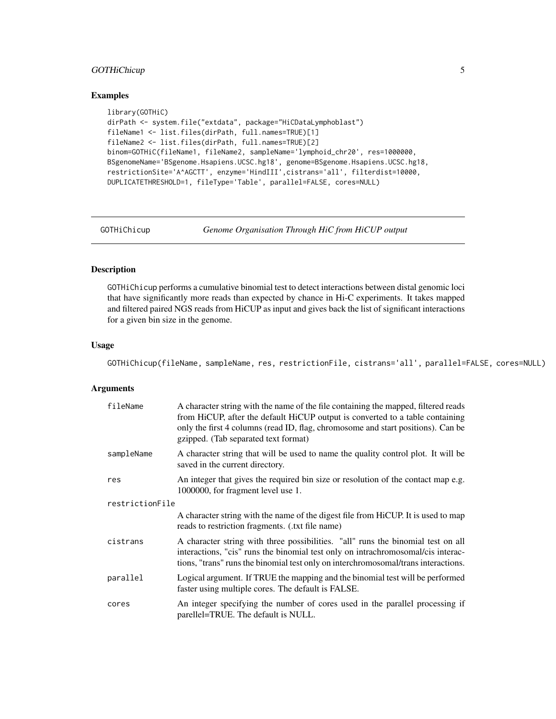#### <span id="page-4-0"></span>GOTHiChicup 5

#### Examples

```
library(GOTHiC)
dirPath <- system.file("extdata", package="HiCDataLymphoblast")
fileName1 <- list.files(dirPath, full.names=TRUE)[1]
fileName2 <- list.files(dirPath, full.names=TRUE)[2]
binom=GOTHiC(fileName1, fileName2, sampleName='lymphoid_chr20', res=1000000,
BSgenomeName='BSgenome.Hsapiens.UCSC.hg18', genome=BSgenome.Hsapiens.UCSC.hg18,
restrictionSite='A^AGCTT', enzyme='HindIII',cistrans='all', filterdist=10000,
DUPLICATETHRESHOLD=1, fileType='Table', parallel=FALSE, cores=NULL)
```
GOTHiChicup *Genome Organisation Through HiC from HiCUP output*

#### Description

GOTHiChicup performs a cumulative binomial test to detect interactions between distal genomic loci that have significantly more reads than expected by chance in Hi-C experiments. It takes mapped and filtered paired NGS reads from HiCUP as input and gives back the list of significant interactions for a given bin size in the genome.

#### Usage

GOTHiChicup(fileName, sampleName, res, restrictionFile, cistrans='all', parallel=FALSE, cores=NULL)

#### Arguments

| fileName        | A character string with the name of the file containing the mapped, filtered reads<br>from HiCUP, after the default HiCUP output is converted to a table containing<br>only the first 4 columns (read ID, flag, chromosome and start positions). Can be<br>gzipped. (Tab separated text format) |  |  |  |  |  |
|-----------------|-------------------------------------------------------------------------------------------------------------------------------------------------------------------------------------------------------------------------------------------------------------------------------------------------|--|--|--|--|--|
| sampleName      | A character string that will be used to name the quality control plot. It will be<br>saved in the current directory.                                                                                                                                                                            |  |  |  |  |  |
| res             | An integer that gives the required bin size or resolution of the contact map e.g.<br>1000000, for fragment level use 1.                                                                                                                                                                         |  |  |  |  |  |
| restrictionFile |                                                                                                                                                                                                                                                                                                 |  |  |  |  |  |
|                 | A character string with the name of the digest file from HiCUP. It is used to map<br>reads to restriction fragments. (txt file name)                                                                                                                                                            |  |  |  |  |  |
| cistrans        | A character string with three possibilities. "all" runs the binomial test on all<br>interactions, "cis" runs the binomial test only on intrachromosomal/cis interac-<br>tions, "trans" runs the binomial test only on interchromosomal/trans interactions.                                      |  |  |  |  |  |
| parallel        | Logical argument. If TRUE the mapping and the binomial test will be performed<br>faster using multiple cores. The default is FALSE.                                                                                                                                                             |  |  |  |  |  |
| cores           | An integer specifying the number of cores used in the parallel processing if<br>parellel=TRUE. The default is NULL.                                                                                                                                                                             |  |  |  |  |  |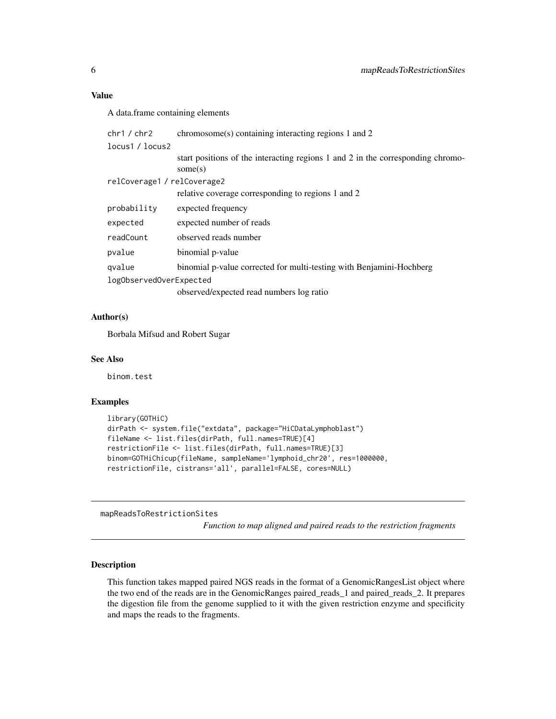#### <span id="page-5-0"></span>Value

A data.frame containing elements

| chr1 / chr2             | chromosome(s) containing interacting regions 1 and 2                                          |  |  |  |  |  |  |
|-------------------------|-----------------------------------------------------------------------------------------------|--|--|--|--|--|--|
| locus1 / locus2         |                                                                                               |  |  |  |  |  |  |
|                         | start positions of the interacting regions 1 and 2 in the corresponding chromo-<br>some $(s)$ |  |  |  |  |  |  |
|                         | relCoverage1 / relCoverage2                                                                   |  |  |  |  |  |  |
|                         | relative coverage corresponding to regions 1 and 2                                            |  |  |  |  |  |  |
| probability             | expected frequency                                                                            |  |  |  |  |  |  |
| expected                | expected number of reads                                                                      |  |  |  |  |  |  |
| readCount               | observed reads number                                                                         |  |  |  |  |  |  |
| pvalue                  | binomial p-value                                                                              |  |  |  |  |  |  |
| gvalue                  | binomial p-value corrected for multi-testing with Benjamini-Hochberg                          |  |  |  |  |  |  |
| logObservedOverExpected |                                                                                               |  |  |  |  |  |  |
|                         | observed/expected read numbers log ratio                                                      |  |  |  |  |  |  |

#### Author(s)

Borbala Mifsud and Robert Sugar

#### See Also

binom.test

#### Examples

```
library(GOTHiC)
dirPath <- system.file("extdata", package="HiCDataLymphoblast")
fileName <- list.files(dirPath, full.names=TRUE)[4]
restrictionFile <- list.files(dirPath, full.names=TRUE)[3]
binom=GOTHiChicup(fileName, sampleName='lymphoid_chr20', res=1000000,
restrictionFile, cistrans='all', parallel=FALSE, cores=NULL)
```
mapReadsToRestrictionSites

*Function to map aligned and paired reads to the restriction fragments*

#### Description

This function takes mapped paired NGS reads in the format of a GenomicRangesList object where the two end of the reads are in the GenomicRanges paired\_reads\_1 and paired\_reads\_2. It prepares the digestion file from the genome supplied to it with the given restriction enzyme and specificity and maps the reads to the fragments.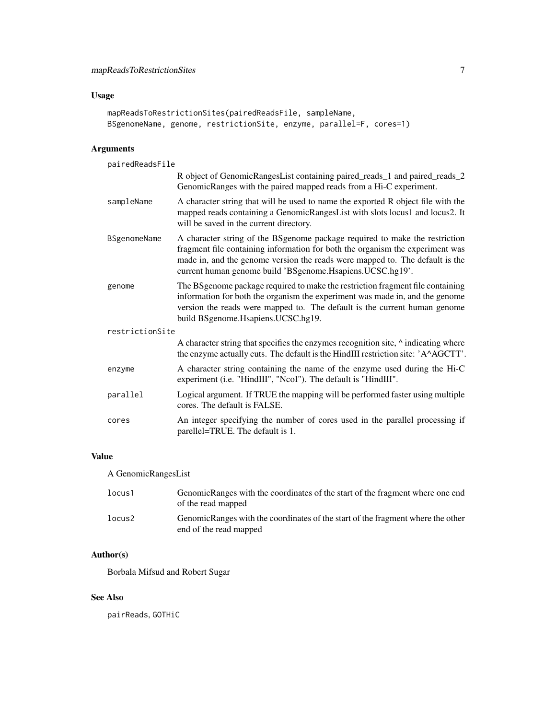#### Usage

```
mapReadsToRestrictionSites(pairedReadsFile, sampleName,
BSgenomeName, genome, restrictionSite, enzyme, parallel=F, cores=1)
```
#### Arguments

| pairedReadsFile |                                                                                                                                                                                                                                                                                                             |  |  |  |  |  |
|-----------------|-------------------------------------------------------------------------------------------------------------------------------------------------------------------------------------------------------------------------------------------------------------------------------------------------------------|--|--|--|--|--|
|                 | R object of GenomicRangesList containing paired_reads_1 and paired_reads_2<br>GenomicRanges with the paired mapped reads from a Hi-C experiment.                                                                                                                                                            |  |  |  |  |  |
| sampleName      | A character string that will be used to name the exported R object file with the<br>mapped reads containing a GenomicRangesList with slots locus1 and locus2. It<br>will be saved in the current directory.                                                                                                 |  |  |  |  |  |
| BSgenomeName    | A character string of the BSgenome package required to make the restriction<br>fragment file containing information for both the organism the experiment was<br>made in, and the genome version the reads were mapped to. The default is the<br>current human genome build 'BSgenome. Hsapiens. UCSC.hg19'. |  |  |  |  |  |
| genome          | The BSgenome package required to make the restriction fragment file containing<br>information for both the organism the experiment was made in, and the genome<br>version the reads were mapped to. The default is the current human genome<br>build BSgenome.Hsapiens.UCSC.hg19.                           |  |  |  |  |  |
| restrictionSite |                                                                                                                                                                                                                                                                                                             |  |  |  |  |  |
|                 | A character string that specifies the enzymes recognition site, $\land$ indicating where<br>the enzyme actually cuts. The default is the HindIII restriction site: 'A^AGCTT'.                                                                                                                               |  |  |  |  |  |
| enzyme          | A character string containing the name of the enzyme used during the Hi-C<br>experiment (i.e. "HindIII", "NcoI"). The default is "HindIII".                                                                                                                                                                 |  |  |  |  |  |
| parallel        | Logical argument. If TRUE the mapping will be performed faster using multiple<br>cores. The default is FALSE.                                                                                                                                                                                               |  |  |  |  |  |
| cores           | An integer specifying the number of cores used in the parallel processing if<br>parellel=TRUE. The default is 1.                                                                                                                                                                                            |  |  |  |  |  |

#### Value

A GenomicRangesList

| locus1 | GenomicRanges with the coordinates of the start of the fragment where one end<br>of the read mapped       |
|--------|-----------------------------------------------------------------------------------------------------------|
| locus2 | GenomicRanges with the coordinates of the start of the fragment where the other<br>end of the read mapped |

#### Author(s)

Borbala Mifsud and Robert Sugar

#### See Also

pairReads, GOTHiC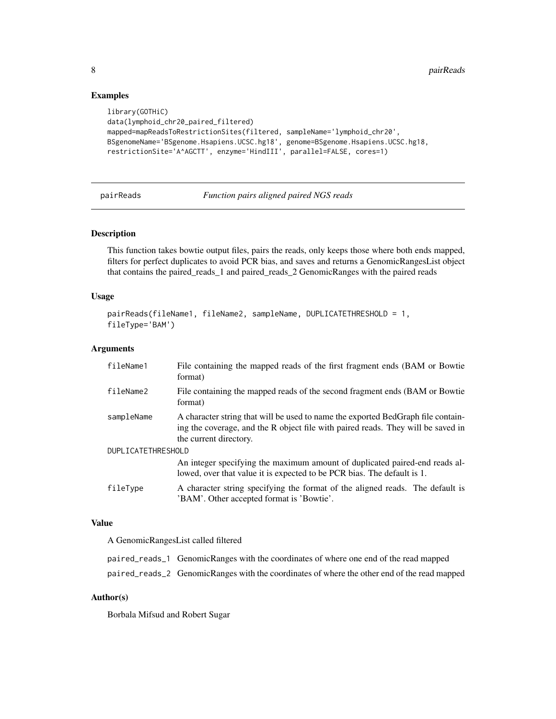#### Examples

```
library(GOTHiC)
data(lymphoid_chr20_paired_filtered)
mapped=mapReadsToRestrictionSites(filtered, sampleName='lymphoid_chr20',
BSgenomeName='BSgenome.Hsapiens.UCSC.hg18', genome=BSgenome.Hsapiens.UCSC.hg18,
restrictionSite='A^AGCTT', enzyme='HindIII', parallel=FALSE, cores=1)
```
pairReads *Function pairs aligned paired NGS reads*

#### Description

This function takes bowtie output files, pairs the reads, only keeps those where both ends mapped, filters for perfect duplicates to avoid PCR bias, and saves and returns a GenomicRangesList object that contains the paired\_reads\_1 and paired\_reads\_2 GenomicRanges with the paired reads

#### Usage

```
pairReads(fileName1, fileName2, sampleName, DUPLICATETHRESHOLD = 1,
fileType='BAM')
```
#### Arguments

| fileName1          | File containing the mapped reads of the first fragment ends (BAM or Bowtie<br>format)                                                                                                          |  |  |  |  |  |
|--------------------|------------------------------------------------------------------------------------------------------------------------------------------------------------------------------------------------|--|--|--|--|--|
| fileName2          | File containing the mapped reads of the second fragment ends (BAM or Bowtie<br>format)                                                                                                         |  |  |  |  |  |
| sampleName         | A character string that will be used to name the exported BedGraph file contain-<br>ing the coverage, and the R object file with paired reads. They will be saved in<br>the current directory. |  |  |  |  |  |
| DUPLICATETHRESHOLD |                                                                                                                                                                                                |  |  |  |  |  |
|                    | An integer specifying the maximum amount of duplicated paired-end reads al-<br>lowed, over that value it is expected to be PCR bias. The default is 1.                                         |  |  |  |  |  |
| fileType           | A character string specifying the format of the aligned reads. The default is<br>'BAM'. Other accepted format is 'Bowtie'.                                                                     |  |  |  |  |  |

#### Value

A GenomicRangesList called filtered

| paired_reads_1 GenomicRanges with the coordinates of where one end of the read mapped       |
|---------------------------------------------------------------------------------------------|
| paired_reads_2 GenomicRanges with the coordinates of where the other end of the read mapped |

#### Author(s)

Borbala Mifsud and Robert Sugar

<span id="page-7-0"></span>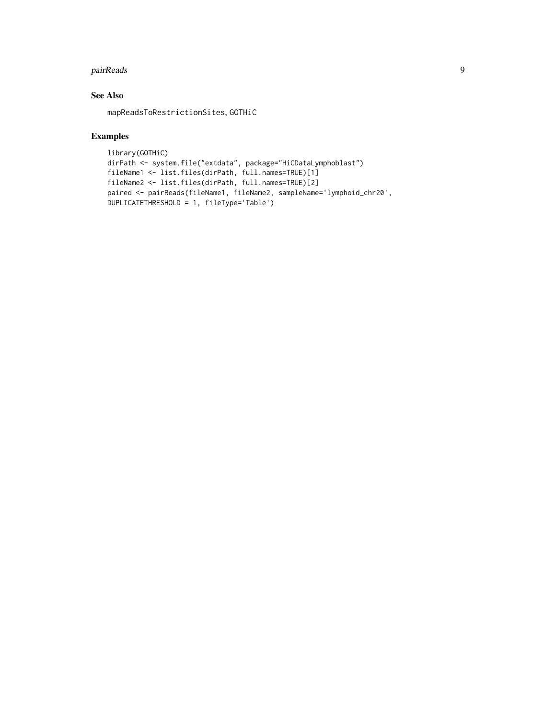#### pairReads 9

#### See Also

mapReadsToRestrictionSites, GOTHiC

#### Examples

```
library(GOTHiC)
dirPath <- system.file("extdata", package="HiCDataLymphoblast")
fileName1 <- list.files(dirPath, full.names=TRUE)[1]
fileName2 <- list.files(dirPath, full.names=TRUE)[2]
paired <- pairReads(fileName1, fileName2, sampleName='lymphoid_chr20',
DUPLICATETHRESHOLD = 1, fileType='Table')
```